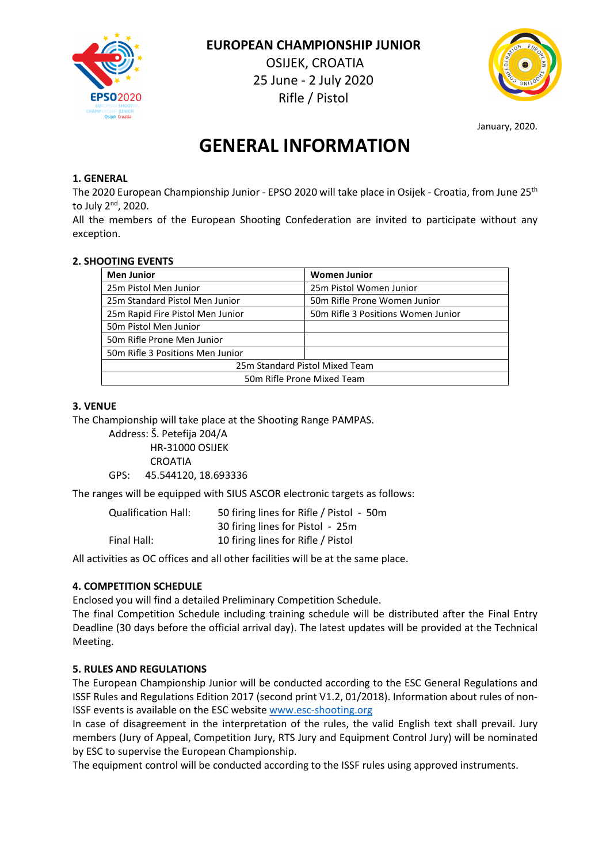

 **EUROPEAN CHAMPIONSHIP JUNIOR** OSIJEK, CROATIA 25 June - 2 July 2020 Rifle / Pistol



January, 2020.

# **GENERAL INFORMATION**

# **1. GENERAL**

The 2020 European Championship Junior - EPSO 2020 will take place in Osijek - Croatia, from June 25th to July 2nd, 2020.

All the members of the European Shooting Confederation are invited to participate without any exception.

#### **2. SHOOTING EVENTS**

| <b>Men Junior</b>                | <b>Women Junior</b>                |  |
|----------------------------------|------------------------------------|--|
| 25m Pistol Men Junior            | 25m Pistol Women Junior            |  |
| 25m Standard Pistol Men Junior   | 50m Rifle Prone Women Junior       |  |
| 25m Rapid Fire Pistol Men Junior | 50m Rifle 3 Positions Women Junior |  |
| 50m Pistol Men Junior            |                                    |  |
| 50m Rifle Prone Men Junior       |                                    |  |
| 50m Rifle 3 Positions Men Junior |                                    |  |
| 25m Standard Pistol Mixed Team   |                                    |  |
| 50m Rifle Prone Mixed Team       |                                    |  |

# **3. VENUE**

The Championship will take place at the Shooting Range PAMPAS.

Address: Š. Petefija 204/A HR-31000 OSIJEK CROATIA GPS: 45.544120, 18.693336

The ranges will be equipped with SIUS ASCOR electronic targets as follows:

| <b>Qualification Hall:</b> | 50 firing lines for Rifle / Pistol - 50m |
|----------------------------|------------------------------------------|
|                            | 30 firing lines for Pistol - 25m         |
| Final Hall:                | 10 firing lines for Rifle / Pistol       |

All activities as OC offices and all other facilities will be at the same place.

# **4. COMPETITION SCHEDULE**

Enclosed you will find a detailed Preliminary Competition Schedule.

The final Competition Schedule including training schedule will be distributed after the Final Entry Deadline (30 days before the official arrival day). The latest updates will be provided at the Technical Meeting.

# **5. RULES AND REGULATIONS**

The European Championship Junior will be conducted according to the ESC General Regulations and ISSF Rules and Regulations Edition 2017 (second print V1.2, 01/2018). Information about rules of non-ISSF events is available on the ESC website www.esc-shooting.org

In case of disagreement in the interpretation of the rules, the valid English text shall prevail. Jury members (Jury of Appeal, Competition Jury, RTS Jury and Equipment Control Jury) will be nominated by ESC to supervise the European Championship.

The equipment control will be conducted according to the ISSF rules using approved instruments.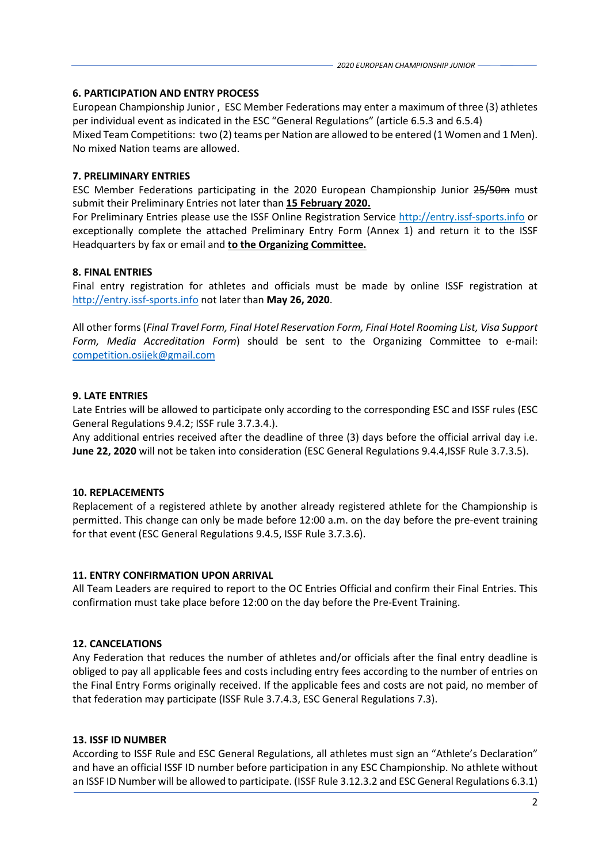#### **6. PARTICIPATION AND ENTRY PROCESS**

European Championship Junior , ESC Member Federations may enter a maximum of three (3) athletes per individual event as indicated in the ESC "General Regulations" (article 6.5.3 and 6.5.4) Mixed Team Competitions: two (2) teams per Nation are allowed to be entered (1 Women and 1 Men). No mixed Nation teams are allowed.

# **7. PRELIMINARY ENTRIES**

ESC Member Federations participating in the 2020 European Championship Junior 25/50m must submit their Preliminary Entries not later than **15 February 2020.**

For Preliminary Entries please use the ISSF Online Registration Service http://entry.issf-sports.info or exceptionally complete the attached Preliminary Entry Form (Annex 1) and return it to the ISSF Headquarters by fax or email and **to the Organizing Committee.** 

# **8. FINAL ENTRIES**

Final entry registration for athletes and officials must be made by online ISSF registration at http://entry.issf-sports.info not later than **May 26, 2020**.

All other forms (*Final Travel Form, Final Hotel Reservation Form, Final Hotel Rooming List, Visa Support Form, Media Accreditation Form*) should be sent to the Organizing Committee to e-mail: competition.osijek@gmail.com

# **9. LATE ENTRIES**

Late Entries will be allowed to participate only according to the corresponding ESC and ISSF rules (ESC General Regulations 9.4.2; ISSF rule 3.7.3.4.).

Any additional entries received after the deadline of three (3) days before the official arrival day i.e. **June 22, 2020** will not be taken into consideration (ESC General Regulations 9.4.4,ISSF Rule 3.7.3.5).

#### **10. REPLACEMENTS**

Replacement of a registered athlete by another already registered athlete for the Championship is permitted. This change can only be made before 12:00 a.m. on the day before the pre-event training for that event (ESC General Regulations 9.4.5, ISSF Rule 3.7.3.6).

#### **11. ENTRY CONFIRMATION UPON ARRIVAL**

All Team Leaders are required to report to the OC Entries Official and confirm their Final Entries. This confirmation must take place before 12:00 on the day before the Pre-Event Training.

# **12. CANCELATIONS**

Any Federation that reduces the number of athletes and/or officials after the final entry deadline is obliged to pay all applicable fees and costs including entry fees according to the number of entries on the Final Entry Forms originally received. If the applicable fees and costs are not paid, no member of that federation may participate (ISSF Rule 3.7.4.3, ESC General Regulations 7.3).

#### **13. ISSF ID NUMBER**

According to ISSF Rule and ESC General Regulations, all athletes must sign an "Athlete's Declaration" and have an official ISSF ID number before participation in any ESC Championship. No athlete without an ISSF ID Number will be allowed to participate. (ISSF Rule 3.12.3.2 and ESC General Regulations 6.3.1)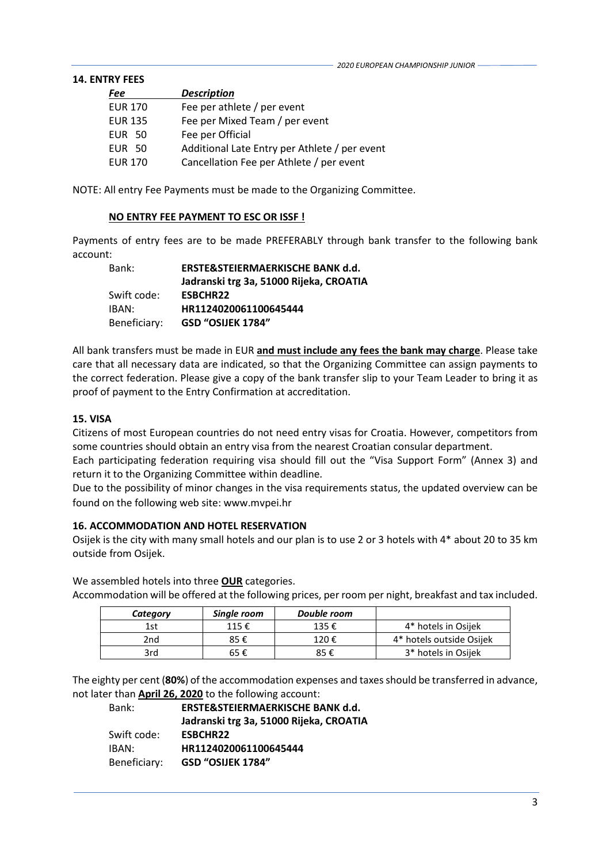#### **14. ENTRY FEES**

| Fee            | <b>Description</b>                            |
|----------------|-----------------------------------------------|
| <b>EUR 170</b> | Fee per athlete / per event                   |
| <b>EUR 135</b> | Fee per Mixed Team / per event                |
| <b>EUR 50</b>  | Fee per Official                              |
| <b>EUR 50</b>  | Additional Late Entry per Athlete / per event |
| <b>EUR 170</b> | Cancellation Fee per Athlete / per event      |

NOTE: All entry Fee Payments must be made to the Organizing Committee.

#### **NO ENTRY FEE PAYMENT TO ESC OR ISSF !**

Payments of entry fees are to be made PREFERABLY through bank transfer to the following bank account:

| Bank:        | ERSTE&STEIERMAERKISCHE BANK d.d.        |
|--------------|-----------------------------------------|
|              | Jadranski trg 3a, 51000 Rijeka, CROATIA |
| Swift code:  | <b>ESBCHR22</b>                         |
| IBAN:        | HR1124020061100645444                   |
| Beneficiary: | GSD "OSIJEK 1784"                       |

All bank transfers must be made in EUR **and must include any fees the bank may charge**. Please take care that all necessary data are indicated, so that the Organizing Committee can assign payments to the correct federation. Please give a copy of the bank transfer slip to your Team Leader to bring it as proof of payment to the Entry Confirmation at accreditation.

#### **15. VISA**

Citizens of most European countries do not need entry visas for Croatia. However, competitors from some countries should obtain an entry visa from the nearest Croatian consular department.

Each participating federation requiring visa should fill out the "Visa Support Form" (Annex 3) and return it to the Organizing Committee within deadline.

Due to the possibility of minor changes in the visa requirements status, the updated overview can be found on the following web site: www.mvpei.hr

#### **16. ACCOMMODATION AND HOTEL RESERVATION**

Osijek is the city with many small hotels and our plan is to use 2 or 3 hotels with 4\* about 20 to 35 km outside from Osijek.

We assembled hotels into three **OUR** categories.

Accommodation will be offered at the following prices, per room per night, breakfast and tax included.

| Category | Single room | Double room |                          |
|----------|-------------|-------------|--------------------------|
| 1st      | 115€        | 135€        | 4* hotels in Osijek      |
| 2nd      | 85 €        | 120€        | 4* hotels outside Osijek |
| 3rd      | 65 €        | 85 €        | 3* hotels in Osijek      |

The eighty per cent (**80%**) of the accommodation expenses and taxes should be transferred in advance, not later than **April 26, 2020** to the following account:

| Bank:        | ERSTE&STEIERMAERKISCHE BANK d.d.        |
|--------------|-----------------------------------------|
|              | Jadranski trg 3a, 51000 Rijeka, CROATIA |
| Swift code:  | <b>ESBCHR22</b>                         |
| IBAN:        | HR1124020061100645444                   |
| Beneficiary: | <b>GSD "OSIJEK 1784"</b>                |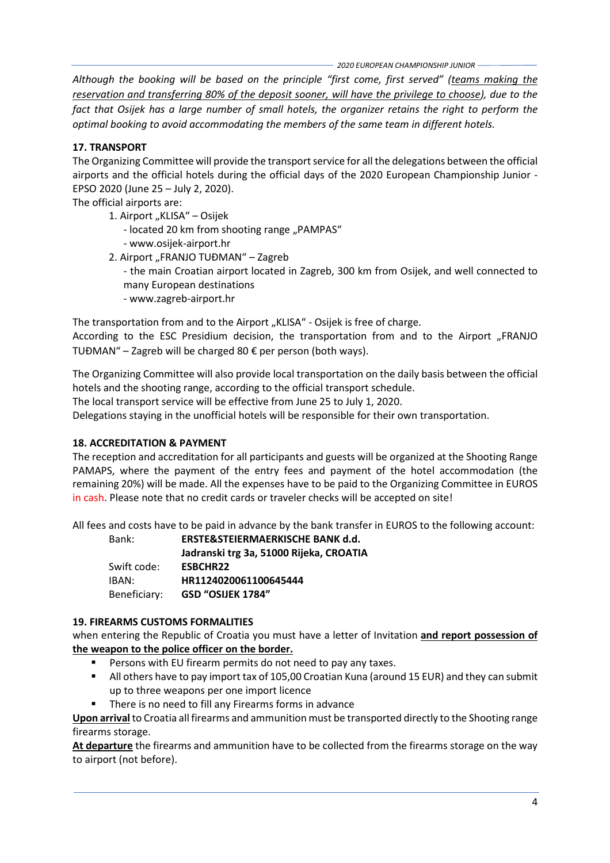*2020 EUROPEAN CHAMPIONSHIP JUNIOR*

*Although the booking will be based on the principle "first come, first served" (teams making the reservation and transferring 80% of the deposit sooner, will have the privilege to choose), due to the fact that Osijek has a large number of small hotels, the organizer retains the right to perform the optimal booking to avoid accommodating the members of the same team in different hotels.*

# **17. TRANSPORT**

The Organizing Committee will provide the transport service for all the delegations between the official airports and the official hotels during the official days of the 2020 European Championship Junior - EPSO 2020 (June 25 – July 2, 2020).

The official airports are:

- 1. Airport "KLISA" Osijek
	- located 20 km from shooting range "PAMPAS"
	- www.osijek-airport.hr
- 2. Airport "FRANJO TUĐMAN" Zagreb
	- the main Croatian airport located in Zagreb, 300 km from Osijek, and well connected to many European destinations
	- www.zagreb-airport.hr

The transportation from and to the Airport "KLISA" - Osijek is free of charge.

According to the ESC Presidium decision, the transportation from and to the Airport "FRANJO TUĐMAN" – Zagreb will be charged 80 € per person (both ways).

The Organizing Committee will also provide local transportation on the daily basis between the official hotels and the shooting range, according to the official transport schedule.

The local transport service will be effective from June 25 to July 1, 2020.

Delegations staying in the unofficial hotels will be responsible for their own transportation.

# **18. ACCREDITATION & PAYMENT**

The reception and accreditation for all participants and guests will be organized at the Shooting Range PAMAPS, where the payment of the entry fees and payment of the hotel accommodation (the remaining 20%) will be made. All the expenses have to be paid to the Organizing Committee in EUROS in cash. Please note that no credit cards or traveler checks will be accepted on site!

All fees and costs have to be paid in advance by the bank transfer in EUROS to the following account:

| Bank:        | ERSTE&STEIERMAERKISCHE BANK d.d.        |
|--------------|-----------------------------------------|
|              | Jadranski trg 3a, 51000 Rijeka, CROATIA |
| Swift code:  | <b>ESBCHR22</b>                         |
| IBAN:        | HR1124020061100645444                   |
| Beneficiary: | GSD "OSIJEK 1784"                       |

# **19. FIREARMS CUSTOMS FORMALITIES**

when entering the Republic of Croatia you must have a letter of Invitation **and report possession of the weapon to the police officer on the border.**

- **Persons with EU firearm permits do not need to pay any taxes.**
- All others have to pay import tax of 105,00 Croatian Kuna (around 15 EUR) and they can submit up to three weapons per one import licence
- There is no need to fill any Firearms forms in advance

**Upon arrival** to Croatia all firearms and ammunition must be transported directly to the Shooting range firearms storage.

**At departure** the firearms and ammunition have to be collected from the firearms storage on the way to airport (not before).